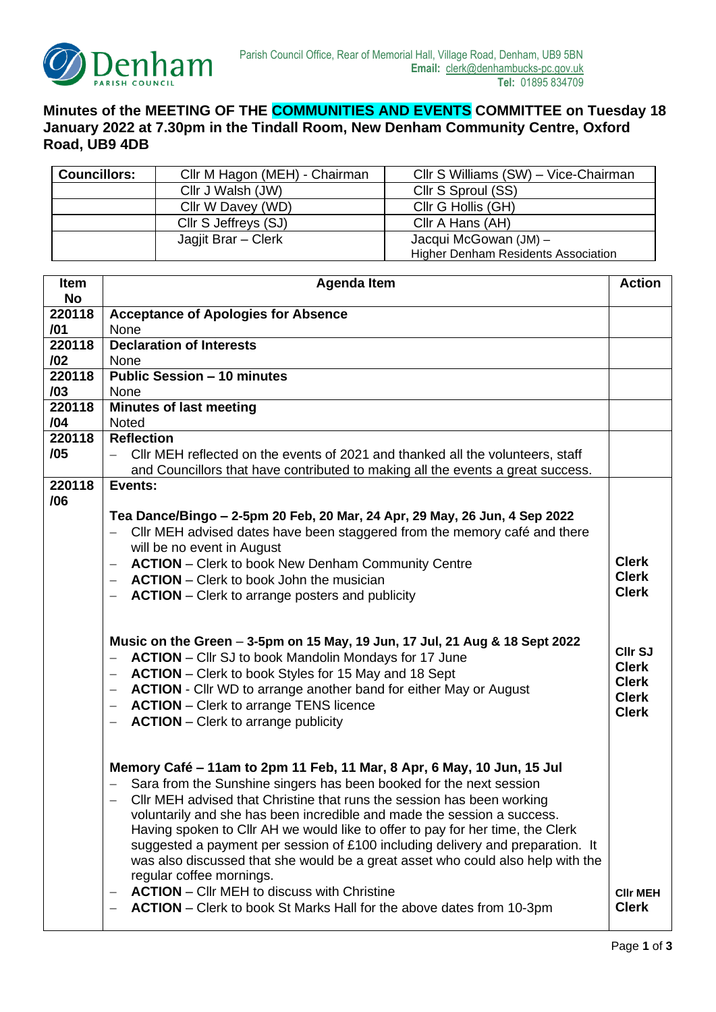

## **Minutes of the MEETING OF THE COMMUNITIES AND EVENTS COMMITTEE on Tuesday 18 January 2022 at 7.30pm in the Tindall Room, New Denham Community Centre, Oxford Road, UB9 4DB**

| <b>Councillors:</b> | Cllr M Hagon (MEH) - Chairman | Cllr S Williams (SW) - Vice-Chairman       |
|---------------------|-------------------------------|--------------------------------------------|
|                     | Cllr J Walsh (JW)             | Cllr S Sproul (SS)                         |
|                     | Cllr W Davey (WD)             | Cllr G Hollis (GH)                         |
|                     | Cllr S Jeffreys (SJ)          | Cllr A Hans (AH)                           |
|                     | Jagjit Brar – Clerk           | Jacqui McGowan (JM) -                      |
|                     |                               | <b>Higher Denham Residents Association</b> |

| Item      | <b>Agenda Item</b>                                                                            | <b>Action</b>   |
|-----------|-----------------------------------------------------------------------------------------------|-----------------|
| <b>No</b> |                                                                                               |                 |
| 220118    | <b>Acceptance of Apologies for Absence</b>                                                    |                 |
| /01       | None                                                                                          |                 |
| 220118    | <b>Declaration of Interests</b>                                                               |                 |
| 102       | None                                                                                          |                 |
| 220118    | <b>Public Session - 10 minutes</b>                                                            |                 |
| /03       | None                                                                                          |                 |
| 220118    | <b>Minutes of last meeting</b>                                                                |                 |
| /04       | <b>Noted</b>                                                                                  |                 |
| 220118    | <b>Reflection</b>                                                                             |                 |
| /05       | Cllr MEH reflected on the events of 2021 and thanked all the volunteers, staff                |                 |
|           | and Councillors that have contributed to making all the events a great success.               |                 |
| 220118    | Events:                                                                                       |                 |
| /06       |                                                                                               |                 |
|           | Tea Dance/Bingo - 2-5pm 20 Feb, 20 Mar, 24 Apr, 29 May, 26 Jun, 4 Sep 2022                    |                 |
|           | CIIr MEH advised dates have been staggered from the memory café and there                     |                 |
|           | will be no event in August<br><b>ACTION</b> – Clerk to book New Denham Community Centre       | <b>Clerk</b>    |
|           | $\overline{\phantom{0}}$<br>$-$ <b>ACTION</b> – Clerk to book John the musician               | <b>Clerk</b>    |
|           |                                                                                               | <b>Clerk</b>    |
|           | <b>ACTION</b> – Clerk to arrange posters and publicity                                        |                 |
|           |                                                                                               |                 |
|           | Music on the Green - 3-5pm on 15 May, 19 Jun, 17 Jul, 21 Aug & 18 Sept 2022                   |                 |
|           | <b>ACTION</b> – Cllr SJ to book Mandolin Mondays for 17 June<br>$\overline{\phantom{0}}$      | CIIr SJ         |
|           | <b>ACTION</b> – Clerk to book Styles for 15 May and 18 Sept                                   | <b>Clerk</b>    |
|           | <b>ACTION</b> - Cllr WD to arrange another band for either May or August<br>$\qquad \qquad -$ | <b>Clerk</b>    |
|           | <b>ACTION</b> – Clerk to arrange TENS licence<br>$\overline{\phantom{0}}$                     | <b>Clerk</b>    |
|           | <b>ACTION</b> – Clerk to arrange publicity<br>$\overline{\phantom{0}}$                        | <b>Clerk</b>    |
|           |                                                                                               |                 |
|           |                                                                                               |                 |
|           | Memory Café – 11am to 2pm 11 Feb, 11 Mar, 8 Apr, 6 May, 10 Jun, 15 Jul                        |                 |
|           | Sara from the Sunshine singers has been booked for the next session                           |                 |
|           | CIIr MEH advised that Christine that runs the session has been working                        |                 |
|           | voluntarily and she has been incredible and made the session a success.                       |                 |
|           | Having spoken to Cllr AH we would like to offer to pay for her time, the Clerk                |                 |
|           | suggested a payment per session of £100 including delivery and preparation. It                |                 |
|           | was also discussed that she would be a great asset who could also help with the               |                 |
|           | regular coffee mornings.                                                                      |                 |
|           | <b>ACTION</b> – Cllr MEH to discuss with Christine                                            | <b>CIIr MEH</b> |
|           | <b>ACTION</b> – Clerk to book St Marks Hall for the above dates from 10-3pm                   | <b>Clerk</b>    |
|           |                                                                                               |                 |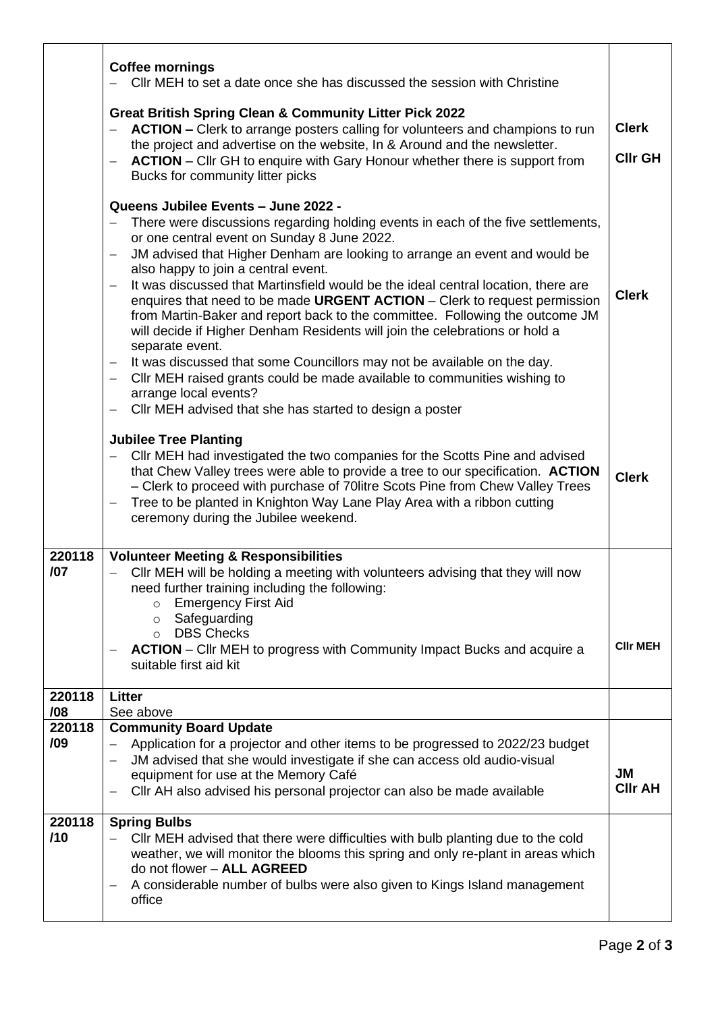|               | <b>Coffee mornings</b><br>CIIr MEH to set a date once she has discussed the session with Christine<br><b>Great British Spring Clean &amp; Community Litter Pick 2022</b>                                                                                                                                                                                                                                                                                                                                                                                                                                                                                                                                                                                                                                                                                                                                                                                          | <b>Clerk</b>                |
|---------------|-------------------------------------------------------------------------------------------------------------------------------------------------------------------------------------------------------------------------------------------------------------------------------------------------------------------------------------------------------------------------------------------------------------------------------------------------------------------------------------------------------------------------------------------------------------------------------------------------------------------------------------------------------------------------------------------------------------------------------------------------------------------------------------------------------------------------------------------------------------------------------------------------------------------------------------------------------------------|-----------------------------|
|               | ACTION - Clerk to arrange posters calling for volunteers and champions to run<br>the project and advertise on the website, In & Around and the newsletter.<br><b>ACTION</b> – Cllr GH to enquire with Gary Honour whether there is support from<br>$\qquad \qquad -$<br>Bucks for community litter picks                                                                                                                                                                                                                                                                                                                                                                                                                                                                                                                                                                                                                                                          | <b>CIIr GH</b>              |
|               | Queens Jubilee Events - June 2022 -<br>There were discussions regarding holding events in each of the five settlements,<br>or one central event on Sunday 8 June 2022.<br>JM advised that Higher Denham are looking to arrange an event and would be<br>$\overline{\phantom{0}}$<br>also happy to join a central event.<br>It was discussed that Martinsfield would be the ideal central location, there are<br>enquires that need to be made URGENT ACTION - Clerk to request permission<br>from Martin-Baker and report back to the committee. Following the outcome JM<br>will decide if Higher Denham Residents will join the celebrations or hold a<br>separate event.<br>It was discussed that some Councillors may not be available on the day.<br>$\qquad \qquad -$<br>Cllr MEH raised grants could be made available to communities wishing to<br>arrange local events?<br>Cllr MEH advised that she has started to design a poster<br>$\qquad \qquad -$ | <b>Clerk</b>                |
|               | <b>Jubilee Tree Planting</b><br>CIIr MEH had investigated the two companies for the Scotts Pine and advised<br>that Chew Valley trees were able to provide a tree to our specification. ACTION<br>- Clerk to proceed with purchase of 70 litre Scots Pine from Chew Valley Trees<br>Tree to be planted in Knighton Way Lane Play Area with a ribbon cutting<br>ceremony during the Jubilee weekend.                                                                                                                                                                                                                                                                                                                                                                                                                                                                                                                                                               | <b>Clerk</b>                |
| 220118<br>/07 | <b>Volunteer Meeting &amp; Responsibilities</b><br>CIIr MEH will be holding a meeting with volunteers advising that they will now<br>$-$<br>need further training including the following:<br><b>Emergency First Aid</b><br>$\circ$<br>Safeguarding<br>$\circ$<br><b>DBS Checks</b><br>$\circ$<br><b>ACTION</b> – Cllr MEH to progress with Community Impact Bucks and acquire a<br>$\overline{\phantom{0}}$<br>suitable first aid kit                                                                                                                                                                                                                                                                                                                                                                                                                                                                                                                            | <b>CIIr MEH</b>             |
| 220118<br>/08 | <b>Litter</b><br>See above                                                                                                                                                                                                                                                                                                                                                                                                                                                                                                                                                                                                                                                                                                                                                                                                                                                                                                                                        |                             |
| 220118        | <b>Community Board Update</b>                                                                                                                                                                                                                                                                                                                                                                                                                                                                                                                                                                                                                                                                                                                                                                                                                                                                                                                                     |                             |
| /09           | Application for a projector and other items to be progressed to 2022/23 budget<br>$\qquad \qquad -$<br>JM advised that she would investigate if she can access old audio-visual                                                                                                                                                                                                                                                                                                                                                                                                                                                                                                                                                                                                                                                                                                                                                                                   |                             |
|               | $\overline{\phantom{m}}$<br>equipment for use at the Memory Café<br>Cllr AH also advised his personal projector can also be made available                                                                                                                                                                                                                                                                                                                                                                                                                                                                                                                                                                                                                                                                                                                                                                                                                        | <b>JM</b><br><b>CIIr AH</b> |
| 220118<br>/10 | <b>Spring Bulbs</b><br>CIIr MEH advised that there were difficulties with bulb planting due to the cold<br>weather, we will monitor the blooms this spring and only re-plant in areas which<br>do not flower - ALL AGREED<br>A considerable number of bulbs were also given to Kings Island management<br>office                                                                                                                                                                                                                                                                                                                                                                                                                                                                                                                                                                                                                                                  |                             |